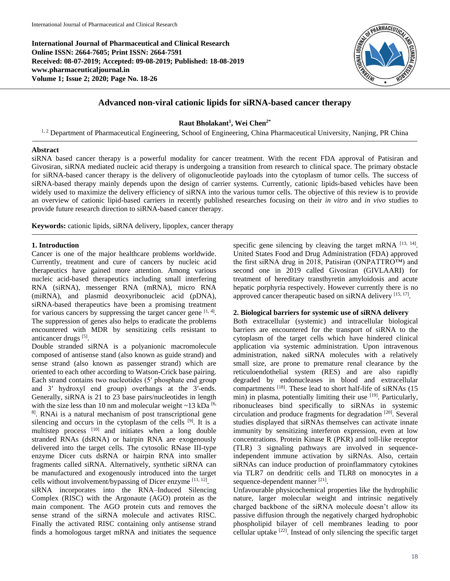**International Journal of Pharmaceutical and Clinical Research Online ISSN: 2664-7605; Print ISSN: 2664-7591 Received: 08-07-2019; Accepted: 09-08-2019; Published: 18-08-2019 www.pharmaceuticaljournal.in Volume 1; Issue 2; 2020; Page No. 18-26**



# **Advanced non-viral cationic lipids for siRNA-based cancer therapy**

## **Raut Bholakant<sup>1</sup> , Wei Chen2\***

<sup>1, 2</sup> Department of Pharmaceutical Engineering, School of Engineering, China Pharmaceutical University, Nanjing, PR China

# **Abstract**

siRNA based cancer therapy is a powerful modality for cancer treatment. With the recent FDA approval of Patisiran and Givosiran, siRNA mediated nucleic acid therapy is undergoing a transition from research to clinical space. The primary obstacle for siRNA-based cancer therapy is the delivery of oligonucleotide payloads into the cytoplasm of tumor cells. The success of siRNA-based therapy mainly depends upon the design of carrier systems. Currently, cationic lipids-based vehicles have been widely used to maximize the delivery efficiency of siRNA into the various tumor cells. The objective of this review is to provide an overview of cationic lipid-based carriers in recently published researches focusing on their *in vitro* and *in vivo* studies to provide future research direction to siRNA-based cancer therapy.

**Keywords:** cationic lipids, siRNA delivery, lipoplex, cancer therapy

#### **1. Introduction**

Cancer is one of the major healthcare problems worldwide. Currently, treatment and cure of cancers by nucleic acid therapeutics have gained more attention. Among various nucleic acid-based therapeutics including small interfering RNA (siRNA), messenger RNA (mRNA), micro RNA (miRNA), and plasmid deoxyribonucleic acid (pDNA), siRNA-based therapeutics have been a promising treatment for various cancers by suppressing the target cancer gene  $[1, 4]$ . The suppression of genes also helps to eradicate the problems encountered with MDR by sensitizing cells resistant to anticancer drugs [5].

Double stranded siRNA is a polyanionic macromolecule composed of antisense stand (also known as guide strand) and sense strand (also known as passenger strand) which are oriented to each other according to Watson-Crick base pairing. Each strand contains two nucleotides (5′ phosphate end group and 3′ hydroxyl end group) overhangs at the 3′-ends. Generally, siRNA is 21 to 23 base pairs/nucleotides in length with the size less than 10 nm and molecular weight  $\sim$ 13 kDa [6, 8] . RNAi is a natural mechanism of post transcriptional gene silencing and occurs in the cytoplasm of the cells [9]. It is a multistep process [10] and initiates when a long double stranded RNAs (dsRNA) or hairpin RNA are exogenously delivered into the target cells. The cytosolic RNase III-type enzyme Dicer cuts dsRNA or hairpin RNA into smaller fragments called siRNA. Alternatively, synthetic siRNA can be manufactured and exogenously introduced into the target cells without involvement/bypassing of Dicer enzyme [11, 12].

siRNA incorporates into the RNA–Induced Silencing Complex (RISC) with the Argonaute (AGO) protein as the main component. The AGO protein cuts and removes the sense strand of the siRNA molecule and activates RISC. Finally the activated RISC containing only antisense strand finds a homologous target mRNA and initiates the sequence

specific gene silencing by cleaving the target mRNA  $^{[13, 14]}$ . United States Food and Drug Administration (FDA) approved the first siRNA drug in 2018, Patisiran (ONPATTRO™) and second one in 2019 called Givosiran (GIVLAARI) for treatment of hereditary transthyretin amyloidosis and acute hepatic porphyria respectively. However currently there is no approved cancer therapeutic based on siRNA delivery [15, 17].

## **2. Biological barriers for systemic use of siRNA delivery**

Both extracellular (systemic) and intracellular biological barriers are encountered for the transport of siRNA to the cytoplasm of the target cells which have hindered clinical application via systemic administration. Upon intravenous administration, naked siRNA molecules with a relatively small size, are prone to premature renal clearance by the reticuloendothelial system (RES) and are also rapidly degraded by endonucleases in blood and extracellular compartments  $^{[18]}$ . These lead to short half-life of siRNAs (15) min) in plasma, potentially limiting their use [19]. Particularly, ribonucleases bind specifically to siRNAs in systemic circulation and produce fragments for degradation <sup>[20]</sup>. Several studies displayed that siRNAs themselves can activate innate immunity by sensitizing interferon expression, even at low concentrations. Protein Kinase R (PKR) and toll-like receptor (TLR) 3 signaling pathways are involved in sequenceindependent immune activation by siRNAs. Also, certain siRNAs can induce production of proinflammatory cytokines via TLR7 on dendritic cells and TLR8 on monocytes in a sequence-dependent manner [21].

Unfavourable physicochemical properties like the hydrophilic nature, larger molecular weight and intrinsic negatively charged backbone of the siRNA molecule doesn't allow its passive diffusion through the negatively charged hydrophobic phospholipid bilayer of cell membranes leading to poor cellular uptake <sup>[22]</sup>. Instead of only silencing the specific target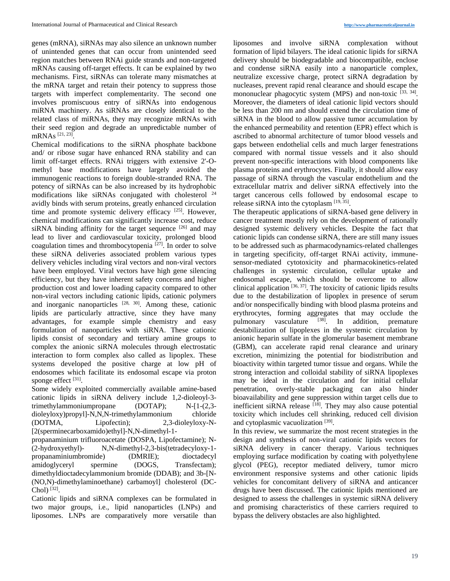genes (mRNA), siRNAs may also silence an unknown number of unintended genes that can occur from unintended seed region matches between RNAi guide strands and non-targeted mRNAs causing off-target effects. It can be explained by two mechanisms. First, siRNAs can tolerate many mismatches at the mRNA target and retain their potency to suppress those targets with imperfect complementarity. The second one involves promiscuous entry of siRNAs into endogenous miRNA machinery. As siRNAs are closely identical to the related class of miRNAs, they may recognize mRNAs with their seed region and degrade an unpredictable number of mRNAs [21, 23] .

Chemical modifications to the siRNA phosphate backbone and/ or ribose sugar have enhanced RNA stability and can limit off-target effects. RNAi triggers with extensive 2'-Omethyl base modifications have largely avoided the immunogenic reactions to foreign double-stranded RNA. The potency of siRNAs can be also increased by its hydrophobic modifications like siRNAs conjugated with cholesterol <sup>24</sup> avidly binds with serum proteins, greatly enhanced circulation time and promote systemic delivery efficacy<sup>[25]</sup>. However, chemical modifications can significantly increase cost, reduce siRNA binding affinity for the target sequence  $[26]$  and may lead to liver and cardiovascular toxicity, prolonged blood coagulation times and thrombocytopenia  $[27]$ . In order to solve these siRNA deliveries associated problem various types delivery vehicles including viral vectors and non-viral vectors have been employed. Viral vectors have high gene silencing efficiency, but they have inherent safety concerns and higher production cost and lower loading capacity compared to other non-viral vectors including cationic lipids, cationic polymers and inorganic nanoparticles  $[28, 30]$ . Among these, cationic lipids are particularly attractive, since they have many advantages, for example simple chemistry and easy formulation of nanoparticles with siRNA. These cationic lipids consist of secondary and tertiary amine groups to complex the anionic siRNA molecules through electrostatic interaction to form complex also called as lipoplex. These systems developed the positive charge at low pH of endosomes which facilitate its endosomal escape via proton sponge effect [31].

Some widely exploited commercially available amine-based cationic lipids in siRNA delivery include 1,2-dioleoyl-3 trimethylammoniumpropane (DOTAP); N-[1-(2,3 dioleyloxy)propyl]-N,N,N-trimethylammonium chloride (DOTMA, Lipofectin); 2,3-dioleyloxy-N- [2(sperminecarboxamido)ethyl]-N,N-dimethyl-1 propanaminium trifluoroacetate (DOSPA, Lipofectamine); N- (2-hydroxyethyl)- N,N-dimethyl-2,3-bis(tetradecyloxy-1 propanaminiumbromide) (DMRIE); dioctadecyl amidoglyceryl spermine (DOGS, Transfectam); dimethyldioctadecylammonium bromide (DDAB); and 3b-[N- (NO,N)-dimethylaminoethane) carbamoyl] cholesterol (DC- $Chol$ ) [32].

Cationic lipids and siRNA complexes can be formulated in two major groups, i.e., lipid nanoparticles (LNPs) and liposomes. LNPs are comparatively more versatile than

liposomes and involve siRNA complexation without formation of lipid bilayers. The ideal cationic lipids for siRNA delivery should be biodegradable and biocompatible, enclose and condense siRNA easily into a nanoparticle complex, neutralize excessive charge, protect siRNA degradation by nucleases, prevent rapid renal clearance and should escape the mononuclear phagocytic system (MPS) and non-toxic  $[33, 34]$ . Moreover, the diameters of ideal cationic lipid vectors should be less than 200 nm and should extend the circulation time of siRNA in the blood to allow passive tumor accumulation by the enhanced permeability and retention (EPR) effect which is ascribed to abnormal architecture of tumor blood vessels and gaps between endothelial cells and much larger fenestrations compared with normal tissue vessels and it also should prevent non-specific interactions with blood components like plasma proteins and erythrocytes. Finally, it should allow easy passage of siRNA through the vascular endothelium and the extracellular matrix and deliver siRNA effectively into the target cancerous cells followed by endosomal escape to release siRNA into the cytoplasm  $[19, 35]$ .

The therapeutic applications of siRNA-based gene delivery in cancer treatment mostly rely on the development of rationally designed systemic delivery vehicles. Despite the fact that cationic lipids can condense siRNA, there are still many issues to be addressed such as pharmacodynamics-related challenges in targeting specificity, off-target RNAi activity, immunesensor-mediated cytotoxicity and pharmacokinetics-related challenges in systemic circulation, cellular uptake and endosomal escape, which should be overcome to allow clinical application  $[36, 37]$ . The toxicity of cationic lipids results due to the destabilization of lipoplex in presence of serum and/or nonspecifically binding with blood plasma proteins and erythrocytes, forming aggregates that may occlude the pulmonary vasculature <sup>[38]</sup>. In addition, premature destabilization of lipoplexes in the systemic circulation by anionic heparin sulfate in the glomerular basement membrane (GBM), can accelerate rapid renal clearance and urinary excretion, minimizing the potential for biodistribution and bioactivity within targeted tumor tissue and organs. While the strong interaction and colloidal stability of siRNA lipoplexes may be ideal in the circulation and for initial cellular penetration, overly-stable packaging can also hinder bioavailability and gene suppression within target cells due to inefficient siRNA release  $[18]$ . They may also cause potential toxicity which includes cell shrinking, reduced cell division and cytoplasmic vacuolization [39].

In this review, we summarize the most recent strategies in the design and synthesis of non-viral cationic lipids vectors for siRNA delivery in cancer therapy. Various techniques employing surface modification by coating with polyethylene glycol (PEG), receptor mediated delivery, tumor micro environment responsive systems and other cationic lipids vehicles for concomitant delivery of siRNA and anticancer drugs have been discussed. The cationic lipids mentioned are designed to assess the challenges in systemic siRNA delivery and promising characteristics of these carriers required to bypass the delivery obstacles are also highlighted.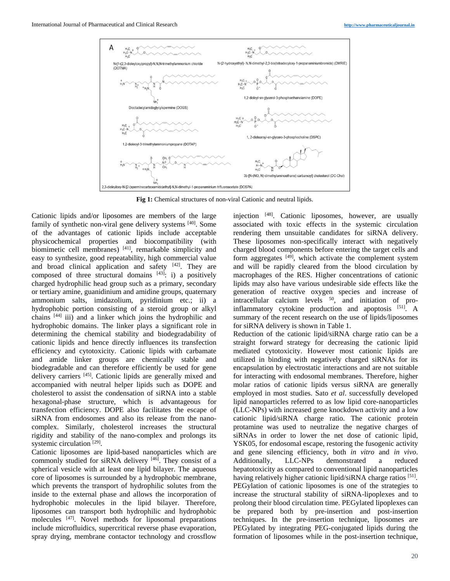

**Fig 1:** Chemical structures of non-viral Cationic and neutral lipids.

Cationic lipids and/or liposomes are members of the large family of synthetic non-viral gene delivery systems [40]. Some of the advantages of cationic lipids include acceptable physicochemical properties and biocompatibility (with biomimetic cell membranes) [41], remarkable simplicity and easy to synthesize, good repeatability, high commercial value and broad clinical application and safety [42]. They are composed of three structural domains  $[43]$ : i) a positively charged hydrophilic head group such as a primary, secondary or tertiary amine, guanidinium and amidine groups, quaternary ammonium salts, imidazolium, pyridinium etc.; ii) a hydrophobic portion consisting of a steroid group or alkyl chains [44] iii) and a linker which joins the hydrophilic and hydrophobic domains. The linker plays a significant role in determining the chemical stability and biodegradability of cationic lipids and hence directly influences its transfection efficiency and cytotoxicity. Cationic lipids with carbamate and amide linker groups are chemically stable and biodegradable and can therefore efficiently be used for gene delivery carriers [45] . Cationic lipids are generally mixed and accompanied with neutral helper lipids such as DOPE and cholesterol to assist the condensation of siRNA into a stable hexagonal-phase structure, which is advantageous for transfection efficiency. DOPE also facilitates the escape of siRNA from endosomes and also its release from the nanocomplex. Similarly, cholesterol increases the structural rigidity and stability of the nano-complex and prolongs its systemic circulation<sup>[29]</sup>.

Cationic liposomes are lipid-based nanoparticles which are commonly studied for siRNA delivery [46]. They consist of a spherical vesicle with at least one lipid bilayer. The aqueous core of liposomes is surrounded by a hydrophobic membrane, which prevents the transport of hydrophilic solutes from the inside to the external phase and allows the incorporation of hydrophobic molecules in the lipid bilayer. Therefore, liposomes can transport both hydrophilic and hydrophobic molecules [47] . Novel methods for liposomal preparations include microfluidics, supercritical reverse phase evaporation, spray drying, membrane contactor technology and crossflow

injection [48]. Cationic liposomes, however, are usually associated with toxic effects in the systemic circulation rendering them unsuitable candidates for siRNA delivery. These liposomes non-specifically interact with negatively charged blood components before entering the target cells and form aggregates [49], which activate the complement system and will be rapidly cleared from the blood circulation by macrophages of the RES. Higher concentrations of cationic lipids may also have various undesirable side effects like the generation of reactive oxygen species and increase of intracellular calcium levels  $50$ , and initiation of proinflammatory cytokine production and apoptosis [51]. A summary of the recent research on the use of lipids/liposomes for siRNA delivery is shown in Table 1.

Reduction of the cationic lipid/siRNA charge ratio can be a straight forward strategy for decreasing the cationic lipid mediated cytotoxicity. However most cationic lipids are utilized in binding with negatively charged siRNAs for its encapsulation by electrostatic interactions and are not suitable for interacting with endosomal membranes. Therefore, higher molar ratios of cationic lipids versus siRNA are generally employed in most studies. Sato *et al*. successfully developed lipid nanoparticles referred to as low lipid core-nanoparticles (LLC-NPs) with increased gene knockdown activity and a low cationic lipid/siRNA charge ratio. The cationic protein protamine was used to neutralize the negative charges of siRNAs in order to lower the net dose of cationic lipid, YSK05, for endosomal escape, restoring the fusogenic activity and gene silencing efficiency, both *in vitro* and *in vivo*. Additionally, LLC-NPs demonstrated a reduced hepatotoxicity as compared to conventional lipid nanoparticles having relatively higher cationic lipid/siRNA charge ratios [51]. PEGylation of cationic liposomes is one of the strategies to increase the structural stability of siRNA-lipoplexes and to prolong their blood circulation time. PEGylated lipoplexes can be prepared both by pre-insertion and post-insertion techniques. In the pre-insertion technique, liposomes are PEGylated by integrating PEG-conjugated lipids during the formation of liposomes while in the post-insertion technique,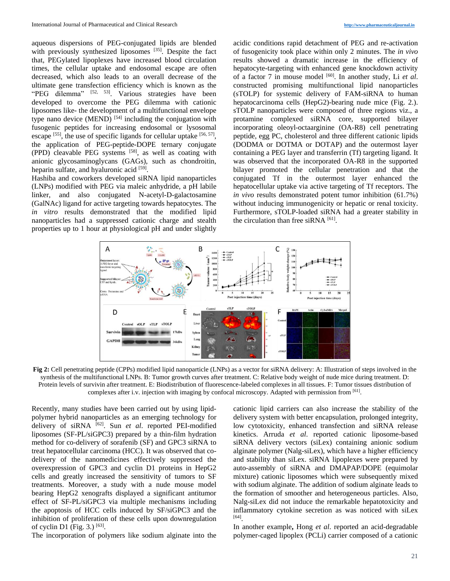aqueous dispersions of PEG-conjugated lipids are blended with previously synthesized liposomes [35]. Despite the fact that, PEGylated lipoplexes have increased blood circulation times, the cellular uptake and endosomal escape are often decreased, which also leads to an overall decrease of the ultimate gene transfection efficiency which is known as the "PEG dilemma" <sup>[52, 53]</sup>. Various strategies have been developed to overcome the PEG dilemma with cationic liposomes like- the development of a multifunctional envelope type nano device (MEND)  $^{[54]}$  including the conjugation with fusogenic peptides for increasing endosomal or lysosomal escape  $[55]$ , the use of specific ligands for cellular uptake  $[56, 57]$ , the application of PEG-peptide-DOPE ternary conjugate (PPD) cleavable PEG systems [58], as well as coating with anionic glycosaminoglycans (GAGs), such as chondroitin, heparin sulfate, and hyaluronic acid [59].

Hashiba and coworkers developed siRNA lipid nanoparticles (LNPs) modified with PEG via maleic anhydride, a pH labile linker, and also conjugated N-acetyl-D-galactosamine (GalNAc) ligand for active targeting towards hepatocytes. The *in vitro* results demonstrated that the modified lipid nanoparticles had a suppressed cationic charge and stealth properties up to 1 hour at physiological pH and under slightly

acidic conditions rapid detachment of PEG and re-activation of fusogenicity took place within only 2 minutes. The *in vivo* results showed a dramatic increase in the efficiency of hepatocyte-targeting with enhanced gene knockdown activity of a factor 7 in mouse model [60] . In another study, Li *et al*. constructed promising multifunctional lipid nanoparticles (sTOLP) for systemic delivery of FAM-siRNA to human hepatocarcinoma cells (HepG2)-bearing nude mice (Fig. 2.). sTOLP nanoparticles were composed of three regions viz., a protamine complexed siRNA core, supported bilayer incorporating oleoyl-octaarginine (OA-R8) cell penetrating peptide, egg PC, cholesterol and three different cationic lipids (DODMA or DOTMA or DOTAP) and the outermost layer containing a PEG layer and transferrin (Tf) targeting ligand. It was observed that the incorporated OA-R8 in the supported bilayer promoted the cellular penetration and that the conjugated Tf in the outermost layer enhanced the hepatocellular uptake via active targeting of Tf receptors. The *in vivo* results demonstrated potent tumor inhibition (61.7%) without inducing immunogenicity or hepatic or renal toxicity. Furthermore, sTOLP-loaded siRNA had a greater stability in the circulation than free siRNA<sup>[61]</sup>.



**Fig 2:** Cell penetrating peptide (CPPs) modified lipid nanoparticle (LNPs) as a vector for siRNA delivery: A: Illustration of steps involved in the synthesis of the multifunctional LNPs. B: Tumor growth curves after treatment. C: Relative body weight of nude mice during treatment. D: Protein levels of survivin after treatment. E: Biodistribution of fluorescence-labeled complexes in all tissues. F: Tumor tissues distribution of complexes after i.v. injection with imaging by confocal microscopy. Adapted with permission from  $[61]$ .

Recently, many studies have been carried out by using lipidpolymer hybrid nanoparticles as an emerging technology for delivery of siRNA [62] . Sun *et al*. reported PEI-modified liposomes (SF-PL/siGPC3) prepared by a thin-film hydration method for co-delivery of sorafenib (SF) and GPC3 siRNA to treat hepatocellular carcinoma (HCC). It was observed that codelivery of the nanomedicines effectively suppressed the overexpression of GPC3 and cyclin D1 proteins in HepG2 cells and greatly increased the sensitivity of tumors to SF treatments. Moreover, a study with a nude mouse model bearing HepG2 xenografts displayed a significant antitumor effect of SF-PL/siGPC3 via multiple mechanisms including the apoptosis of HCC cells induced by SF/siGPC3 and the inhibition of proliferation of these cells upon downregulation of cyclin D1 (Fig. 3.) [63] .

The incorporation of polymers like sodium alginate into the

cationic lipid carriers can also increase the stability of the delivery system with better encapsulation, prolonged integrity, low cytotoxicity, enhanced transfection and siRNA release kinetics. Arruda *et al*. reported cationic liposome-based siRNA delivery vectors (siLex) containing anionic sodium alginate polymer (Nalg-siLex), which have a higher efficiency and stability than siLex. siRNA lipoplexes were prepared by auto-assembly of siRNA and DMAPAP/DOPE (equimolar mixture) cationic liposomes which were subsequently mixed with sodium alginate. The addition of sodium alginate leads to the formation of smoother and heterogeneous particles. Also, Nalg-siLex did not induce the remarkable hepatotoxicity and inflammatory cytokine secretion as was noticed with siLex [64] .

In another example**,** Hong *et al*. reported an acid-degradable polymer-caged lipoplex (PCLi) carrier composed of a cationic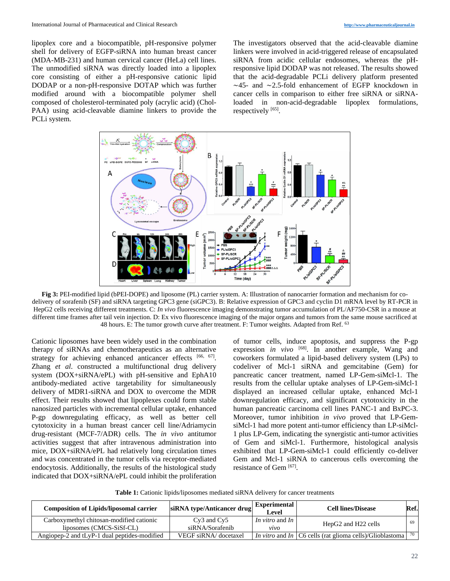lipoplex core and a biocompatible, pH-responsive polymer shell for delivery of EGFP-siRNA into human breast cancer (MDA-MB-231) and human cervical cancer (HeLa) cell lines. The unmodified siRNA was directly loaded into a lipoplex core consisting of either a pH-responsive cationic lipid DODAP or a non-pH-responsive DOTAP which was further modified around with a biocompatible polymer shell composed of cholesterol-terminated poly (acrylic acid) (Chol-PAA) using acid-cleavable diamine linkers to provide the PCLi system.

The investigators observed that the acid-cleavable diamine linkers were involved in acid-triggered release of encapsulated siRNA from acidic cellular endosomes, whereas the pHresponsive lipid DODAP was not released. The results showed that the acid-degradable PCLi delivery platform presented ∼45- and ∼2.5-fold enhancement of EGFP knockdown in cancer cells in comparison to either free siRNA or siRNAloaded in non-acid-degradable lipoplex formulations, respectively [65].



**Fig 3:** PEI-modified lipid (bPEI-DOPE) and liposome (PL) carrier system. A: Illustration of nanocarrier formation and mechanism for codelivery of sorafenib (SF) and siRNA targeting GPC3 gene (siGPC3). B: Relative expression of GPC3 and cyclin D1 mRNA level by RT-PCR in HepG2 cells receiving different treatments. C: *In vivo* fluorescence imaging demonstrating tumor accumulation of PL/AF750-CSR in a mouse at different time frames after tail vein injection. D: Ex vivo fluorescence imaging of the major organs and tumors from the same mouse sacrificed at 48 hours. E: The tumor growth curve after treatment. F: Tumor weights. Adapted from Ref. <sup>63</sup>

Cationic liposomes have been widely used in the combination therapy of siRNAs and chemotherapeutics as an alternative strategy for achieving enhanced anticancer effects [66, 67]. Zhang *et al*. constructed a multifunctional drug delivery system (DOX+siRNA/ePL) with pH-sensitive and EphA10 antibody-mediated active targetability for simultaneously delivery of MDR1-siRNA and DOX to overcome the MDR effect. Their results showed that lipoplexes could form stable nanosized particles with incremental cellular uptake, enhanced P-gp downregulating efficacy, as well as better cell cytotoxicity in a human breast cancer cell line/Adriamycin drug-resistant (MCF-7/ADR) cells. The *in vivo* antitumor activities suggest that after intravenous administration into mice, DOX+siRNA/ePL had relatively long circulation times and was concentrated in the tumor cells via receptor-mediated endocytosis. Additionally, the results of the histological study indicated that DOX+siRNA/ePL could inhibit the proliferation

of tumor cells, induce apoptosis, and suppress the P-gp expression *in vivo*  $^{[68]}$ . In another example, Wang and coworkers formulated a lipid-based delivery system (LPs) to codeliver of Mcl-1 siRNA and gemcitabine (Gem) for pancreatic cancer treatment, named LP-Gem-siMcl-1. The results from the cellular uptake analyses of LP-Gem-siMcl-1 displayed an increased cellular uptake, enhanced Mcl-1 downregulation efficacy, and significant cytotoxicity in the human pancreatic carcinoma cell lines PANC-1 and BxPC-3. Moreover, tumor inhibition *in vivo* proved that LP-GemsiMcl-1 had more potent anti-tumor efficiency than LP-siMcl-1 plus LP-Gem, indicating the synergistic anti-tumor activities of Gem and siMcl-1. Furthermore, histological analysis exhibited that LP-Gem-siMcl-1 could efficiently co-deliver Gem and Mcl-1 siRNA to cancerous cells overcoming the resistance of Gem [67].

**Table 1:** Cationic lipids/liposomes mediated siRNA delivery for cancer treatments

| <b>Composition of Lipids/liposomal carrier</b> | siRNA type/Anticancer drug | <b>Experimental</b><br>Level  | <b>Cell lines/Disease</b>                                   | Ref. |
|------------------------------------------------|----------------------------|-------------------------------|-------------------------------------------------------------|------|
| Carboxymethyl chitosan-modified cationic       | $Cv3$ and $Cv5$            | <i>In vitro</i> and <i>In</i> | HepG2 and H22 cells                                         | 69   |
| liposomes (CMCS-SiSf-CL)                       | siRNA/Sorafenib            | <i>vvo</i>                    |                                                             |      |
| Angiopep-2 and tLyP-1 dual peptides-modified   | VEGF siRNA/docetaxel       |                               | In vitro and In $ C6$ cells (rat glioma cells)/Glioblastoma | 70   |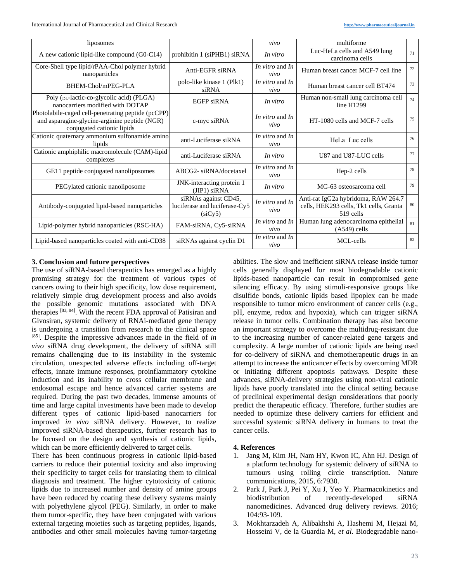| liposomes                                                                                                                         |                                                                  | vivo                      | multiforme                                                                                 |    |
|-----------------------------------------------------------------------------------------------------------------------------------|------------------------------------------------------------------|---------------------------|--------------------------------------------------------------------------------------------|----|
| A new cationic lipid-like compound (G0-C14)                                                                                       | prohibitin 1 (siPHB1) siRNA                                      | In vitro                  | Luc-HeLa cells and A549 lung<br>carcinoma cells                                            | 71 |
| Core-Shell type lipid/rPAA-Chol polymer hybrid<br>nanoparticles                                                                   | Anti-EGFR siRNA                                                  | In vitro and In<br>vivo   | Human breast cancer MCF-7 cell line                                                        | 72 |
| BHEM-Chol/mPEG-PLA                                                                                                                | polo-like kinase 1 (Plk1)<br>siRNA                               | In vitro and In<br>vivo   | Human breast cancer cell BT474                                                             | 73 |
| Poly (DL-lactic-co-glycolic acid) (PLGA)<br>nanocarriers modified with DOTAP                                                      | <b>EGFP siRNA</b>                                                | In vitro                  | Human non-small lung carcinoma cell<br>line $H1299$                                        | 74 |
| Photolabile-caged cell-penetrating peptide (pcCPP)<br>and asparagine-glycine-arginine peptide (NGR)<br>conjugated cationic lipids | c-myc siRNA                                                      | In vitro and In<br>vivo   | HT-1080 cells and MCF-7 cells                                                              | 75 |
| Cationic quaternary ammonium sulfonamide amino<br>lipids                                                                          | anti-Luciferase siRNA                                            | In vitro and In<br>vivo   | HeLa-Luc cells                                                                             | 76 |
| Cationic amphiphilic macromolecule (CAM)-lipid<br>complexes                                                                       | anti-Luciferase siRNA                                            | In vitro                  | U87 and U87-LUC cells                                                                      | 77 |
| GE11 peptide conjugated nanoliposomes                                                                                             | ABCG2-siRNA/docetaxel                                            | In vitro and In<br>vivo   | Hep-2 cells                                                                                | 78 |
| PEGylated cationic nanoliposome                                                                                                   | JNK-interacting protein 1<br>$(JIP1)$ siRNA                      | In vitro                  | MG-63 osteosarcoma cell                                                                    | 79 |
| Antibody-conjugated lipid-based nanoparticles                                                                                     | siRNAs against CD45,<br>luciferase and luciferase-Cy5<br>(siCv5) | In vitro and In<br>vivo   | Anti-rat IgG2a hybridoma, RAW 264.7<br>cells, HEK293 cells, Tk1 cells, Granta<br>519 cells | 80 |
| Lipid-polymer hybrid nanoparticles (RSC-HA)                                                                                       | FAM-siRNA, Cy5-siRNA                                             | In vitro and $In$<br>vivo | Human lung adenocarcinoma epithelial<br>$(A549)$ cells                                     | 81 |
| Lipid-based nanoparticles coated with anti-CD38                                                                                   | siRNAs against cyclin D1                                         | In vitro and In<br>vivo   | MCL-cells                                                                                  | 82 |

# **3. Conclusion and future perspectives**

The use of siRNA-based therapeutics has emerged as a highly promising strategy for the treatment of various types of cancers owing to their high specificity, low dose requirement, relatively simple drug development process and also avoids the possible genomic mutations associated with DNA therapies [83, 84]. With the recent FDA approval of Patisiran and Givosiran, systemic delivery of RNAi-mediated gene therapy is undergoing a transition from research to the clinical space [85] . Despite the impressive advances made in the field of *in vivo* siRNA drug development, the delivery of siRNA still remains challenging due to its instability in the systemic circulation, unexpected adverse effects including off-target effects, innate immune responses, proinflammatory cytokine induction and its inability to cross cellular membrane and endosomal escape and hence advanced carrier systems are required. During the past two decades, immense amounts of time and large capital investments have been made to develop different types of cationic lipid-based nanocarriers for improved *in vivo* siRNA delivery. However, to realize improved siRNA-based therapeutics, further research has to be focused on the design and synthesis of cationic lipids, which can be more efficiently delivered to target cells.

There has been continuous progress in cationic lipid-based carriers to reduce their potential toxicity and also improving their specificity to target cells for translating them to clinical diagnosis and treatment. The higher cytotoxicity of cationic lipids due to increased number and density of amine groups have been reduced by coating these delivery systems mainly with polyethylene glycol (PEG). Similarly, in order to make them tumor-specific, they have been conjugated with various external targeting moieties such as targeting peptides, ligands, antibodies and other small molecules having tumor-targeting

abilities. The slow and inefficient siRNA release inside tumor cells generally displayed for most biodegradable cationic lipids-based nanoparticle can result in compromised gene silencing efficacy. By using stimuli-responsive groups like disulfide bonds, cationic lipids based lipoplex can be made responsible to tumor micro environment of cancer cells (e.g., pH, enzyme, redox and hypoxia), which can trigger siRNA release in tumor cells. Combination therapy has also become an important strategy to overcome the multidrug-resistant due to the increasing number of cancer-related gene targets and complexity. A large number of cationic lipids are being used for co-delivery of siRNA and chemotherapeutic drugs in an attempt to increase the anticancer effects by overcoming MDR or initiating different apoptosis pathways. Despite these advances, siRNA-delivery strategies using non-viral cationic lipids have poorly translated into the clinical setting because of preclinical experimental design considerations that poorly predict the therapeutic efficacy. Therefore, further studies are needed to optimize these delivery carriers for efficient and successful systemic siRNA delivery in humans to treat the cancer cells.

## **4. References**

- 1. Jang M, Kim JH, Nam HY, Kwon IC, Ahn HJ. Design of a platform technology for systemic delivery of siRNA to tumours using rolling circle transcription. Nature communications, 2015, 6:7930.
- 2. Park J, Park J, Pei Y, Xu J, Yeo Y. Pharmacokinetics and biodistribution of recently-developed siRNA nanomedicines. Advanced drug delivery reviews. 2016; 104:93-109.
- 3. Mokhtarzadeh A, Alibakhshi A, Hashemi M, Hejazi M, Hosseini V, de la Guardia M, *et al*. Biodegradable nano-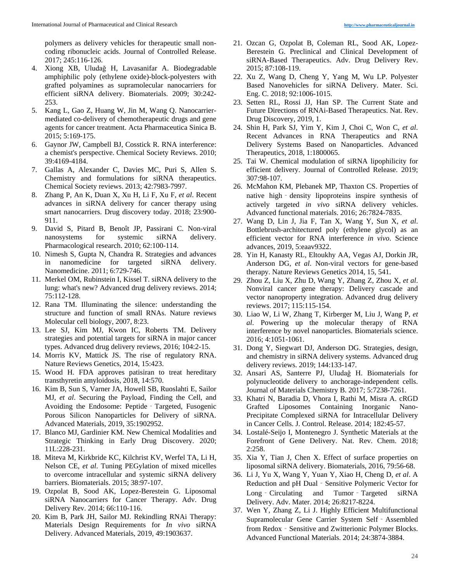polymers as delivery vehicles for therapeutic small noncoding ribonucleic acids. Journal of Controlled Release. 2017; 245:116-126.

- 4. Xiong XB, Uludağ H, Lavasanifar A. Biodegradable amphiphilic poly (ethylene oxide)-block-polyesters with grafted polyamines as supramolecular nanocarriers for efficient siRNA delivery. Biomaterials. 2009; 30:242- 253.
- 5. Kang L, Gao Z, Huang W, Jin M, Wang Q. Nanocarriermediated co-delivery of chemotherapeutic drugs and gene agents for cancer treatment. Acta Pharmaceutica Sinica B. 2015; 5:169-175.
- 6. Gaynor JW, Campbell BJ, Cosstick R. RNA interference: a chemist's perspective. Chemical Society Reviews. 2010; 39:4169-4184.
- 7. Gallas A, Alexander C, Davies MC, Puri S, Allen S. Chemistry and formulations for siRNA therapeutics. Chemical Society reviews. 2013; 42:7983-7997.
- 8. Zhang P, An K, Duan X, Xu H, Li F, Xu F, *et al*. Recent advances in siRNA delivery for cancer therapy using smart nanocarriers. Drug discovery today. 2018; 23:900- 911.
- 9. David S, Pitard B, Benoît JP, Passirani C. Non-viral nanosystems for systemic siRNA delivery. Pharmacological research. 2010; 62:100-114.
- 10. Nimesh S, Gupta N, Chandra R. Strategies and advances in nanomedicine for targeted siRNA delivery. Nanomedicine. 2011; 6:729-746.
- 11. Merkel OM, Rubinstein I, Kissel T. siRNA delivery to the lung: what's new? Advanced drug delivery reviews. 2014; 75:112-128.
- 12. Rana TM. Illuminating the silence: understanding the structure and function of small RNAs. Nature reviews Molecular cell biology, 2007, 8:23.
- 13. Lee SJ, Kim MJ, Kwon IC, Roberts TM. Delivery strategies and potential targets for siRNA in major cancer types. Advanced drug delivery reviews, 2016; 104:2-15.
- 14. Morris KV, Mattick JS. The rise of regulatory RNA. Nature Reviews Genetics, 2014, 15:423.
- 15. Wood H. FDA approves patisiran to treat hereditary transthyretin amyloidosis, 2018, 14:570.
- 16. Kim B, Sun S, Varner JA, Howell SB, Ruoslahti E, Sailor MJ, *et al*. Securing the Payload, Finding the Cell, and Avoiding the Endosome: Peptide‐Targeted, Fusogenic Porous Silicon Nanoparticles for Delivery of siRNA. Advanced Materials, 2019, 35:1902952.
- 17. Blanco MJ, Gardinier KM. New Chemical Modalities and Strategic Thinking in Early Drug Discovery. 2020; 11L:228-231.
- 18. Miteva M, Kirkbride KC, Kilchrist KV, Werfel TA, Li H, Nelson CE, *et al*. Tuning PEGylation of mixed micelles to overcome intracellular and systemic siRNA delivery barriers. Biomaterials. 2015; 38:97-107.
- 19. Ozpolat B, Sood AK, Lopez-Berestein G. Liposomal siRNA Nanocarriers for Cancer Therapy. Adv. Drug Delivery Rev. 2014; 66:110-116.
- 20. Kim B, Park JH, Sailor MJ. Rekindling RNAi Therapy: Materials Design Requirements for *In vivo* siRNA Delivery. Advanced Materials, 2019, 49:1903637.
- 21. Ozcan G, Ozpolat B, Coleman RL, Sood AK, Lopez-Berestein G. Preclinical and Clinical Development of siRNA-Based Therapeutics. Adv. Drug Delivery Rev. 2015; 87:108-119.
- 22. Xu Z, Wang D, Cheng Y, Yang M, Wu LP. Polyester Based Nanovehicles for siRNA Delivery. Mater. Sci. Eng. C. 2018; 92:1006-1015.
- 23. Setten RL, Rossi JJ, Han SP. The Current State and Future Directions of RNAi-Based Therapeutics. Nat. Rev. Drug Discovery, 2019, 1.
- 24. Shin H, Park SJ, Yim Y, Kim J, Choi C, Won C, *et al*. Recent Advances in RNA Therapeutics and RNA Delivery Systems Based on Nanoparticles. Advanced Therapeutics, 2018, 1:1800065.
- 25. Tai W. Chemical modulation of siRNA lipophilicity for efficient delivery. Journal of Controlled Release. 2019; 307:98-107.
- 26. McMahon KM, Plebanek MP, Thaxton CS. Properties of native high - density lipoproteins inspire synthesis of actively targeted *in vivo* siRNA delivery vehicles. Advanced functional materials. 2016; 26:7824-7835.
- 27. Wang D, Lin J, Jia F, Tan X, Wang Y, Sun X, *et al*. Bottlebrush-architectured poly (ethylene glycol) as an efficient vector for RNA interference *in vivo*. Science advances, 2019, 5:eaav9322.
- 28. Yin H, Kanasty RL, Eltoukhy AA, Vegas AJ, Dorkin JR, Anderson DG, *et al*. Non-viral vectors for gene-based therapy. Nature Reviews Genetics 2014, 15, 541.
- 29. Zhou Z, Liu X, Zhu D, Wang Y, Zhang Z, Zhou X, *et al*. Nonviral cancer gene therapy: Delivery cascade and vector nanoproperty integration. Advanced drug delivery reviews. 2017; 115:115-154.
- 30. Liao W, Li W, Zhang T, Kirberger M, Liu J, Wang P, *et al*. Powering up the molecular therapy of RNA interference by novel nanoparticles. Biomaterials science. 2016; 4:1051-1061.
- 31. Dong Y, Siegwart DJ, Anderson DG. Strategies, design, and chemistry in siRNA delivery systems. Advanced drug delivery reviews. 2019; 144:133-147.
- 32. Ansari AS, Santerre PJ, Uludağ H. Biomaterials for polynucleotide delivery to anchorage-independent cells. Journal of Materials Chemistry B. 2017; 5:7238-7261.
- 33. Khatri N, Baradia D, Vhora I, Rathi M, Misra A. cRGD Grafted Liposomes Containing Inorganic Nano-Precipitate Complexed siRNA for Intracellular Delivery in Cancer Cells. J. Control. Release. 2014; 182:45-57.
- 34. Lostalé-Seijo I, Montenegro J. Synthetic Materials at the Forefront of Gene Delivery. Nat. Rev. Chem. 2018; 2:258.
- 35. Xia Y, Tian J, Chen X. Effect of surface properties on liposomal siRNA delivery. Biomaterials, 2016, 79:56-68.
- 36. Li J, Yu X, Wang Y, Yuan Y, Xiao H, Cheng D, *et al*. A Reduction and pH Dual - Sensitive Polymeric Vector for Long – Circulating and Tumor – Targeted siRNA Delivery. Adv. Mater. 2014; 26:8217-8224.
- 37. Wen Y, Zhang Z, Li J. Highly Efficient Multifunctional Supramolecular Gene Carrier System Self‐Assembled from Redox - Sensitive and Zwitterionic Polymer Blocks. Advanced Functional Materials. 2014; 24:3874-3884.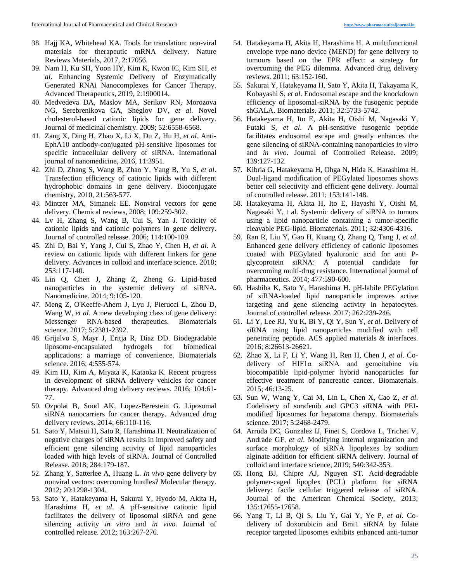- 38. Hajj KA, Whitehead KA. Tools for translation: non-viral materials for therapeutic mRNA delivery. Nature Reviews Materials, 2017, 2:17056.
- 39. Nam H, Ku SH, Yoon HY, Kim K, Kwon IC, Kim SH, *et al*. Enhancing Systemic Delivery of Enzymatically Generated RNAi Nanocomplexes for Cancer Therapy. Advanced Therapeutics, 2019, 2:1900014.
- 40. Medvedeva DA, Maslov MA, Serikov RN, Morozova NG, Serebrenikova GA, Sheglov DV, *et al*. Novel cholesterol-based cationic lipids for gene delivery. Journal of medicinal chemistry. 2009; 52:6558-6568.
- 41. Zang X, Ding H, Zhao X, Li X, Du Z, Hu H, *et al*. Anti-EphA10 antibody-conjugated pH-sensitive liposomes for specific intracellular delivery of siRNA. International journal of nanomedicine, 2016, 11:3951.
- 42. Zhi D, Zhang S, Wang B, Zhao Y, Yang B, Yu S, *et al*. Transfection efficiency of cationic lipids with different hydrophobic domains in gene delivery. Bioconjugate chemistry, 2010, 21:563-577.
- 43. Mintzer MA, Simanek EE. Nonviral vectors for gene delivery. Chemical reviews, 2008; 109:259-302.
- 44. Lv H, Zhang S, Wang B, Cui S, Yan J. Toxicity of cationic lipids and cationic polymers in gene delivery. Journal of controlled release. 2006; 114:100-109.
- 45. Zhi D, Bai Y, Yang J, Cui S, Zhao Y, Chen H, *et al*. A review on cationic lipids with different linkers for gene delivery. Advances in colloid and interface science. 2018; 253:117-140.
- 46. Lin Q, Chen J, Zhang Z, Zheng G. Lipid-based nanoparticles in the systemic delivery of siRNA. Nanomedicine. 2014; 9:105-120.
- 47. Meng Z, O'Keeffe-Ahern J, Lyu J, Pierucci L, Zhou D, Wang W, *et al*. A new developing class of gene delivery: Messenger RNA-based therapeutics. Biomaterials science. 2017; 5:2381-2392.
- 48. Grijalvo S, Mayr J, Eritja R, Díaz DD. Biodegradable liposome-encapsulated hydrogels for biomedical applications: a marriage of convenience. Biomaterials science. 2016; 4:555-574.
- 49. Kim HJ, Kim A, Miyata K, Kataoka K. Recent progress in development of siRNA delivery vehicles for cancer therapy. Advanced drug delivery reviews. 2016; 104:61- 77.
- 50. Ozpolat B, Sood AK, Lopez-Berestein G. Liposomal siRNA nanocarriers for cancer therapy. Advanced drug delivery reviews. 2014; 66:110-116.
- 51. Sato Y, Matsui H, Sato R, Harashima H. Neutralization of negative charges of siRNA results in improved safety and efficient gene silencing activity of lipid nanoparticles loaded with high levels of siRNA. Journal of Controlled Release. 2018; 284:179-187.
- 52. Zhang Y, Satterlee A, Huang L. *In vivo* gene delivery by nonviral vectors: overcoming hurdles? Molecular therapy. 2012; 20:1298-1304.
- 53. Sato Y, Hatakeyama H, Sakurai Y, Hyodo M, Akita H, Harashima H, *et al*. A pH-sensitive cationic lipid facilitates the delivery of liposomal siRNA and gene silencing activity *in vitro* and *in vivo*. Journal of controlled release. 2012; 163:267-276.
- 54. Hatakeyama H, Akita H, Harashima H. A multifunctional envelope type nano device (MEND) for gene delivery to tumours based on the EPR effect: a strategy for overcoming the PEG dilemma. Advanced drug delivery reviews. 2011; 63:152-160.
- 55. Sakurai Y, Hatakeyama H, Sato Y, Akita H, Takayama K, Kobayashi S, *et al*. Endosomal escape and the knockdown efficiency of liposomal-siRNA by the fusogenic peptide shGALA. Biomaterials. 2011; 32:5733-5742.
- 56. Hatakeyama H, Ito E, Akita H, Oishi M, Nagasaki Y, Futaki S, *et al*. A pH-sensitive fusogenic peptide facilitates endosomal escape and greatly enhances the gene silencing of siRNA-containing nanoparticles *in vitro* and *in vivo*. Journal of Controlled Release. 2009; 139:127-132.
- 57. Kibria G, Hatakeyama H, Ohga N, Hida K, Harashima H. Dual-ligand modification of PEGylated liposomes shows better cell selectivity and efficient gene delivery. Journal of controlled release. 2011; 153:141-148.
- 58. Hatakeyama H, Akita H, Ito E, Hayashi Y, Oishi M, Nagasaki Y, t al. Systemic delivery of siRNA to tumors using a lipid nanoparticle containing a tumor-specific cleavable PEG-lipid. Biomaterials. 2011; 32:4306-4316.
- 59. Ran R, Liu Y, Gao H, Kuang Q, Zhang Q, Tang J, *et al*. Enhanced gene delivery efficiency of cationic liposomes coated with PEGylated hyaluronic acid for anti Pglycoprotein siRNA: A potential candidate for overcoming multi-drug resistance. International journal of pharmaceutics. 2014; 477:590-600.
- 60. Hashiba K, Sato Y, Harashima H. pH-labile PEGylation of siRNA-loaded lipid nanoparticle improves active targeting and gene silencing activity in hepatocytes. Journal of controlled release. 2017; 262:239-246.
- 61. Li Y, Lee RJ, Yu K, Bi Y, Qi Y, Sun Y, *et al*. Delivery of siRNA using lipid nanoparticles modified with cell penetrating peptide. ACS applied materials & interfaces. 2016; 8:26613-26621.
- 62. Zhao X, Li F, Li Y, Wang H, Ren H, Chen J, *et al*. Codelivery of HIF1α siRNA and gemcitabine via biocompatible lipid-polymer hybrid nanoparticles for effective treatment of pancreatic cancer. Biomaterials. 2015; 46:13-25.
- 63. Sun W, Wang Y, Cai M, Lin L, Chen X, Cao Z, *et al*. Codelivery of sorafenib and GPC3 siRNA with PEImodified liposomes for hepatoma therapy. Biomaterials science. 2017; 5:2468-2479.
- 64. Arruda DC, Gonzalez IJ, Finet S, Cordova L, Trichet V, Andrade GF, *et al*. Modifying internal organization and surface morphology of siRNA lipoplexes by sodium alginate addition for efficient siRNA delivery. Journal of colloid and interface science, 2019; 540:342-353.
- 65. Hong BJ, Chipre AJ, Nguyen ST. Acid-degradable polymer-caged lipoplex (PCL) platform for siRNA delivery: facile cellular triggered release of siRNA. Journal of the American Chemical Society, 2013; 135:17655-17658.
- 66. Yang T, Li B, Qi S, Liu Y, Gai Y, Ye P, *et al*. Codelivery of doxorubicin and Bmi1 siRNA by folate receptor targeted liposomes exhibits enhanced anti-tumor